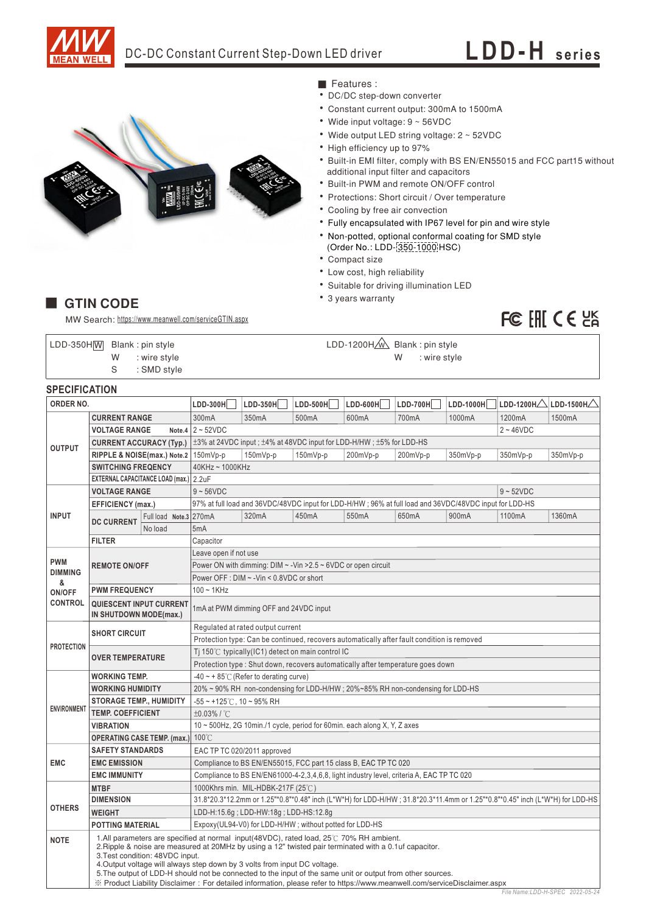

# DC-DC Constant Current Step-Down LED driver **LDD-H** series



- Features :
- DC/DC step-down converter
- Constant current output: 300mA to 1500mA
- Wide input voltage: 9 ~ 56VDC
- Wide output LED string voltage: 2 ~ 52VDC
- High efficiency up to 97%
- Built-in EMI filter, comply with BS EN/EN55015 and FCC part15 without additional input filter and capacitors
- Built-in PWM and remote ON/OFF control
- Protections: Short circuit / Over temperature
- Cooling by free air convection
- Fully encapsulated with IP67 level for pin and wire style
- Non-potted, optional conformal coating for SMD style
- (Order No.: LDD-350-1000 HSC)
- Compact size
- Low cost, high reliability
- Suitable for driving illumination LED
- 3 years warranty

# FC EHI CE HA

### **GTIN CODE**

MW Search: https://www.meanwell.com/serviceGTIN.aspx

S : SMD style  $LDD-350H\overline{W}$  Blank: pin style

LDD-1200H & Blank: pin style W : wire style N : wire style

## **SPECIFICATION**

| ORDER NO.           |                                                                                                                                                                                                                                                                                                                                                                                                                                                                                                                                                              | LDD-300H               | $LDD-350H$                                                                                                                    | LDD-500H                                                                                               | $LDD-600H$ | $LDD-700H$         | LDD-1000H | LDD-1200H $\triangle$ | $\vert$ LDD-1500H $\triangle$ |          |
|---------------------|--------------------------------------------------------------------------------------------------------------------------------------------------------------------------------------------------------------------------------------------------------------------------------------------------------------------------------------------------------------------------------------------------------------------------------------------------------------------------------------------------------------------------------------------------------------|------------------------|-------------------------------------------------------------------------------------------------------------------------------|--------------------------------------------------------------------------------------------------------|------------|--------------------|-----------|-----------------------|-------------------------------|----------|
| <b>OUTPUT</b>       | <b>CURRENT RANGE</b>                                                                                                                                                                                                                                                                                                                                                                                                                                                                                                                                         |                        | 300mA                                                                                                                         | 350 <sub>m</sub> A                                                                                     | 500mA      | 600mA              | 700mA     | 1000mA                | 1200mA                        | 1500mA   |
|                     | <b>VOLTAGE RANGE</b>                                                                                                                                                                                                                                                                                                                                                                                                                                                                                                                                         |                        | Note.4 $2 \sim 52$ VDC<br>$2 - 46$ VDC                                                                                        |                                                                                                        |            |                    |           |                       |                               |          |
|                     | <b>CURRENT ACCURACY (Typ.)</b>                                                                                                                                                                                                                                                                                                                                                                                                                                                                                                                               |                        | 1±3% at 24VDC input; ±4% at 48VDC input for LDD-H/HW; ±5% for LDD-HS                                                          |                                                                                                        |            |                    |           |                       |                               |          |
|                     | RIPPLE & NOISE(max.) Note.2                                                                                                                                                                                                                                                                                                                                                                                                                                                                                                                                  |                        | 150mVp-p                                                                                                                      | 150mVp-p                                                                                               | 150mVp-p   | 200mVp-p           | 200mVp-p  | 350mVp-p              | 350mVp-p                      | 350mVp-p |
|                     | <b>SWITCHING FREQENCY</b>                                                                                                                                                                                                                                                                                                                                                                                                                                                                                                                                    |                        | 40KHz~1000KHz                                                                                                                 |                                                                                                        |            |                    |           |                       |                               |          |
|                     | EXTERNAL CAPACITANCE LOAD (max.) 2.2uF                                                                                                                                                                                                                                                                                                                                                                                                                                                                                                                       |                        |                                                                                                                               |                                                                                                        |            |                    |           |                       |                               |          |
|                     | <b>VOLTAGE RANGE</b>                                                                                                                                                                                                                                                                                                                                                                                                                                                                                                                                         |                        | $9 - 52VDC$<br>$9 - 56VDC$                                                                                                    |                                                                                                        |            |                    |           |                       |                               |          |
| <b>INPUT</b>        | <b>EFFICIENCY</b> (max.)                                                                                                                                                                                                                                                                                                                                                                                                                                                                                                                                     |                        |                                                                                                                               | 97% at full load and 36VDC/48VDC input for LDD-H/HW; 96% at full load and 36VDC/48VDC input for LDD-HS |            |                    |           |                       |                               |          |
|                     | <b>DC CURRENT</b>                                                                                                                                                                                                                                                                                                                                                                                                                                                                                                                                            | Full load Note.3 270mA |                                                                                                                               | 320mA                                                                                                  | 450mA      | 550 <sub>m</sub> A | 650mA     | 900mA                 | 1100mA                        | 1360mA   |
|                     |                                                                                                                                                                                                                                                                                                                                                                                                                                                                                                                                                              | No load                | 5mA                                                                                                                           |                                                                                                        |            |                    |           |                       |                               |          |
|                     | <b>FILTER</b>                                                                                                                                                                                                                                                                                                                                                                                                                                                                                                                                                |                        | Capacitor                                                                                                                     |                                                                                                        |            |                    |           |                       |                               |          |
|                     | <b>REMOTE ON/OFF</b>                                                                                                                                                                                                                                                                                                                                                                                                                                                                                                                                         |                        | Leave open if not use                                                                                                         |                                                                                                        |            |                    |           |                       |                               |          |
| <b>PWM</b>          |                                                                                                                                                                                                                                                                                                                                                                                                                                                                                                                                                              |                        | Power ON with dimming: $DIM \sim$ -Vin > 2.5 $\sim$ 6VDC or open circuit                                                      |                                                                                                        |            |                    |           |                       |                               |          |
| <b>DIMMING</b><br>& |                                                                                                                                                                                                                                                                                                                                                                                                                                                                                                                                                              |                        | Power OFF : DIM ~ - Vin < 0.8VDC or short                                                                                     |                                                                                                        |            |                    |           |                       |                               |          |
| ON/OFF              | <b>PWM FREQUENCY</b>                                                                                                                                                                                                                                                                                                                                                                                                                                                                                                                                         |                        | $100 - 1$ KHz                                                                                                                 |                                                                                                        |            |                    |           |                       |                               |          |
| <b>CONTROL</b>      | <b>QUIESCENT INPUT CURRENT</b><br>IN SHUTDOWN MODE(max.)                                                                                                                                                                                                                                                                                                                                                                                                                                                                                                     |                        | 1mA at PWM dimming OFF and 24VDC input                                                                                        |                                                                                                        |            |                    |           |                       |                               |          |
|                     | <b>SHORT CIRCUIT</b>                                                                                                                                                                                                                                                                                                                                                                                                                                                                                                                                         |                        | Regulated at rated output current                                                                                             |                                                                                                        |            |                    |           |                       |                               |          |
|                     |                                                                                                                                                                                                                                                                                                                                                                                                                                                                                                                                                              |                        | Protection type: Can be continued, recovers automatically after fault condition is removed                                    |                                                                                                        |            |                    |           |                       |                               |          |
| <b>PROTECTION</b>   | <b>OVER TEMPERATURE</b>                                                                                                                                                                                                                                                                                                                                                                                                                                                                                                                                      |                        | Ti 150 $\degree$ C typically (IC1) detect on main control IC                                                                  |                                                                                                        |            |                    |           |                       |                               |          |
|                     |                                                                                                                                                                                                                                                                                                                                                                                                                                                                                                                                                              |                        | Protection type: Shut down, recovers automatically after temperature goes down                                                |                                                                                                        |            |                    |           |                       |                               |          |
|                     | <b>WORKING TEMP.</b>                                                                                                                                                                                                                                                                                                                                                                                                                                                                                                                                         |                        | $-40 \sim +85^{\circ}$ (Refer to derating curve)                                                                              |                                                                                                        |            |                    |           |                       |                               |          |
|                     | <b>WORKING HUMIDITY</b>                                                                                                                                                                                                                                                                                                                                                                                                                                                                                                                                      |                        | 20% ~ 90% RH non-condensing for LDD-H/HW; 20%~85% RH non-condensing for LDD-HS                                                |                                                                                                        |            |                    |           |                       |                               |          |
|                     | <b>STORAGE TEMP., HUMIDITY</b>                                                                                                                                                                                                                                                                                                                                                                                                                                                                                                                               |                        | $-55 \sim +125^{\circ}$ C, 10 ~ 95% RH                                                                                        |                                                                                                        |            |                    |           |                       |                               |          |
| <b>ENVIRONMENT</b>  | <b>TEMP. COEFFICIENT</b>                                                                                                                                                                                                                                                                                                                                                                                                                                                                                                                                     |                        | ±0.03%/°C                                                                                                                     |                                                                                                        |            |                    |           |                       |                               |          |
|                     | <b>VIBRATION</b>                                                                                                                                                                                                                                                                                                                                                                                                                                                                                                                                             |                        | $10 \sim 500$ Hz, 2G 10min./1 cycle, period for 60min. each along X, Y, Z axes                                                |                                                                                                        |            |                    |           |                       |                               |          |
|                     | <b>OPERATING CASE TEMP. (max.)</b>                                                                                                                                                                                                                                                                                                                                                                                                                                                                                                                           |                        | $100^{\circ}$ C                                                                                                               |                                                                                                        |            |                    |           |                       |                               |          |
|                     | <b>SAFETY STANDARDS</b>                                                                                                                                                                                                                                                                                                                                                                                                                                                                                                                                      |                        | EAC TP TC 020/2011 approved                                                                                                   |                                                                                                        |            |                    |           |                       |                               |          |
| <b>EMC</b>          | <b>EMC EMISSION</b>                                                                                                                                                                                                                                                                                                                                                                                                                                                                                                                                          |                        | Compliance to BS EN/EN55015, FCC part 15 class B, EAC TP TC 020                                                               |                                                                                                        |            |                    |           |                       |                               |          |
|                     | <b>EMC IMMUNITY</b>                                                                                                                                                                                                                                                                                                                                                                                                                                                                                                                                          |                        | Compliance to BS EN/EN61000-4-2,3,4,6,8, light industry level, criteria A, EAC TP TC 020                                      |                                                                                                        |            |                    |           |                       |                               |          |
|                     | <b>MTBF</b>                                                                                                                                                                                                                                                                                                                                                                                                                                                                                                                                                  |                        | 1000Khrs min. MIL-HDBK-217F (25°C)                                                                                            |                                                                                                        |            |                    |           |                       |                               |          |
| <b>OTHERS</b>       | <b>DIMENSION</b>                                                                                                                                                                                                                                                                                                                                                                                                                                                                                                                                             |                        | 31.8*20.3*12.2mm or 1.25"*0.8"*0.48" inch (L*W*H) for LDD-H/HW ; 31.8*20.3*11.4mm or 1.25"*0.8"*0.45" inch (L*W*H) for LDD-HS |                                                                                                        |            |                    |           |                       |                               |          |
|                     | <b>WEIGHT</b>                                                                                                                                                                                                                                                                                                                                                                                                                                                                                                                                                |                        | LDD-H:15.6g; LDD-HW:18g; LDD-HS:12.8g                                                                                         |                                                                                                        |            |                    |           |                       |                               |          |
|                     | <b>POTTING MATERIAL</b>                                                                                                                                                                                                                                                                                                                                                                                                                                                                                                                                      |                        | Expoxy(UL94-V0) for LDD-H/HW; without potted for LDD-HS                                                                       |                                                                                                        |            |                    |           |                       |                               |          |
| <b>NOTE</b>         | 1.All parameters are specified at normal input(48VDC), rated load, 25°C 70% RH ambient.<br>2. Ripple & noise are measured at 20MHz by using a 12" twisted pair terminated with a 0.1uf capacitor.<br>3. Test condition: 48VDC input.<br>4. Output voltage will always step down by 3 volts from input DC voltage.<br>5. The output of LDD-H should not be connected to the input of the same unit or output from other sources.<br>X Product Liability Disclaimer: For detailed information, please refer to https://www.meanwell.com/serviceDisclaimer.aspx |                        |                                                                                                                               |                                                                                                        |            |                    |           |                       |                               |          |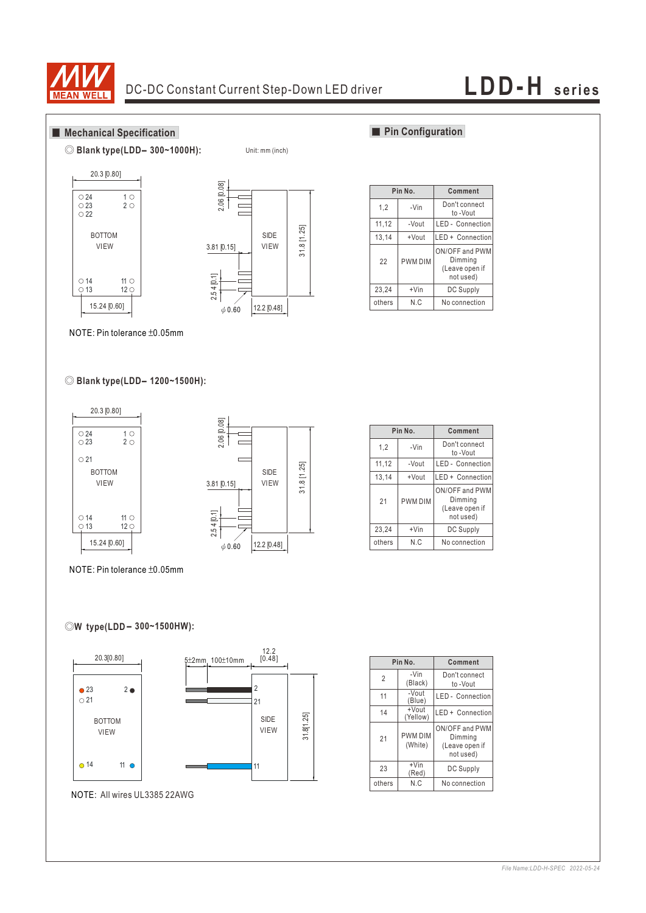

Unit: mm (inch)

## **Mechanical Specification**







## **Pin Configuration**

|                  | Pin No.        | Comment                                                  |  |  |
|------------------|----------------|----------------------------------------------------------|--|--|
| 1,2              | -Vin           | Don't connect<br>to -Vout                                |  |  |
| 11,12            | -Vout          | LED - Connection                                         |  |  |
| 13,14<br>+Vout   |                | LED + Connection                                         |  |  |
| 22               | <b>PWM DIM</b> | ON/OFF and PWM<br>Dimming<br>(Leave open if<br>not used) |  |  |
| 23,24<br>$+V$ in |                | <b>DC Supply</b>                                         |  |  |
| N.C<br>others    |                | No connection                                            |  |  |

NOTE: Pin tolerance ±0.05mm

## ◎ **Blank type(LDD - 1200~1500H):**



**Pin No.** 23,24 others 1,2 11,12 13,14 21 +Vin N.C -Vin -Vout +Vout PWM DIM **Comment** DC Supply No connection Don't connect to -Vout LED - Connection LED + Connection ON/OFF and PWM Dimming (Leave open if not used)

NOTE: Pin tolerance ±0.05mm

## **-** ◎**W type(LDD 300~1500HW):**



|                | Pin No.                   | Comment                                                  |  |  |
|----------------|---------------------------|----------------------------------------------------------|--|--|
| $\overline{2}$ | -Vin<br>(Black)           | Don't connect<br>to -Vout                                |  |  |
| 11             | -Vout<br>(Blue)           | <b>LED</b> - Connection                                  |  |  |
| 14             | +Vout<br>(Yellow)         | LED + Connection                                         |  |  |
| 21             | <b>PWM DIM</b><br>(White) | ON/OFF and PWM<br>Dimming<br>(Leave open if<br>not used) |  |  |
| 23             | $+V$ in<br>(Red)          | DC Supply                                                |  |  |
| others         | N.C                       | No connection                                            |  |  |

### *File Name:LDD-H-SPEC 2022-05-24*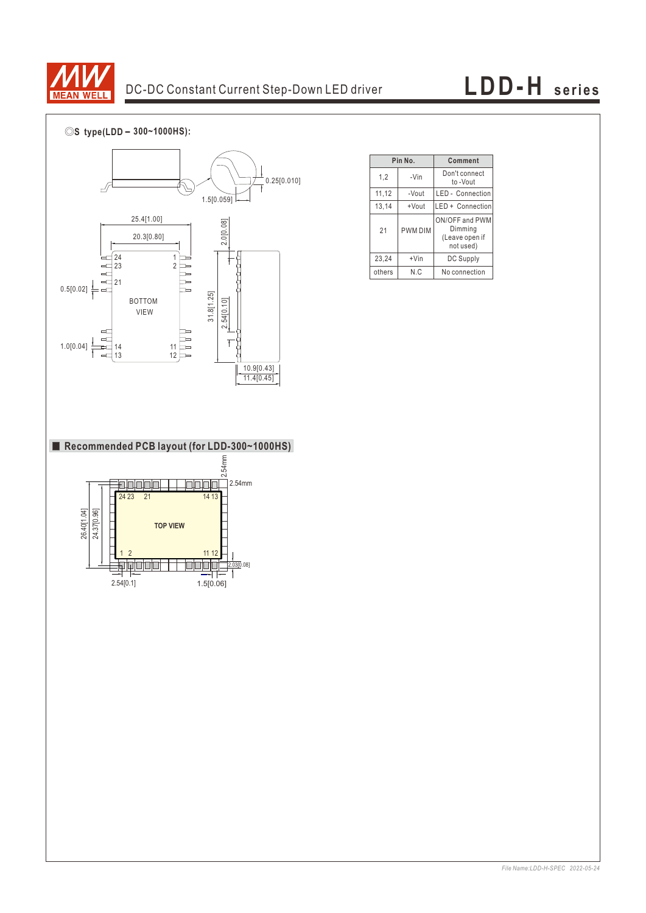

# DC-DC Constant Current Step-Down LED driver **LDD-H** series

◎**S type(LDD - 300~1000HS):**



|                  | Pin No.        | Comment                                                  |  |  |
|------------------|----------------|----------------------------------------------------------|--|--|
| 1,2              | -Vin           | Don't connect<br>to -Vout                                |  |  |
| 11,12            | -Vout          | LED - Connection                                         |  |  |
| 13,14<br>+Vout   |                | LED + Connection                                         |  |  |
| 21               | <b>PWM DIM</b> | ON/OFF and PWM<br>Dimming<br>(Leave open if<br>not used) |  |  |
| 23,24<br>$+V$ in |                | <b>DC Supply</b>                                         |  |  |
| N.C<br>others    |                | No connection                                            |  |  |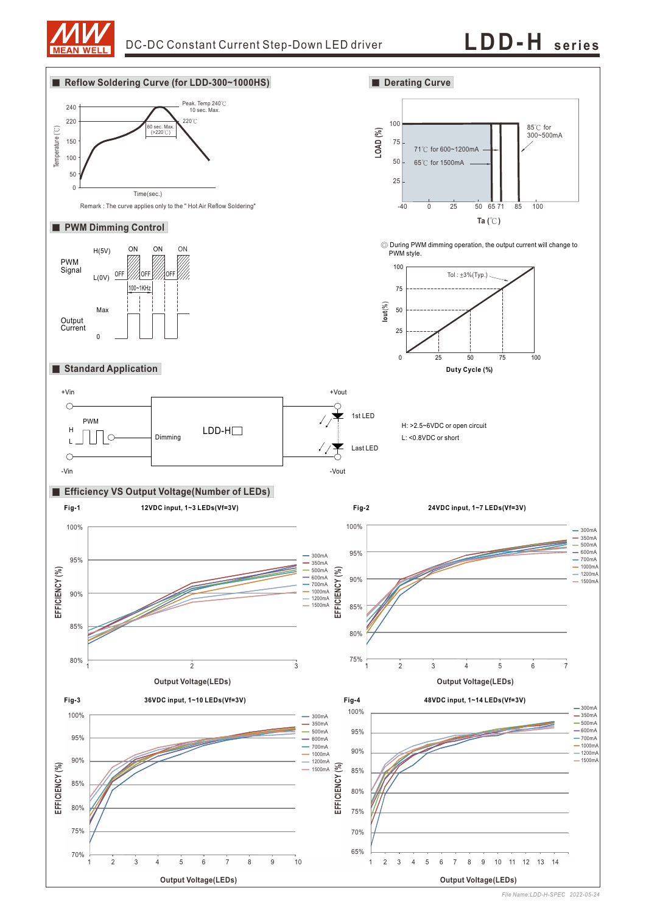



*File Name:LDD-H-SPEC 2022-05-24*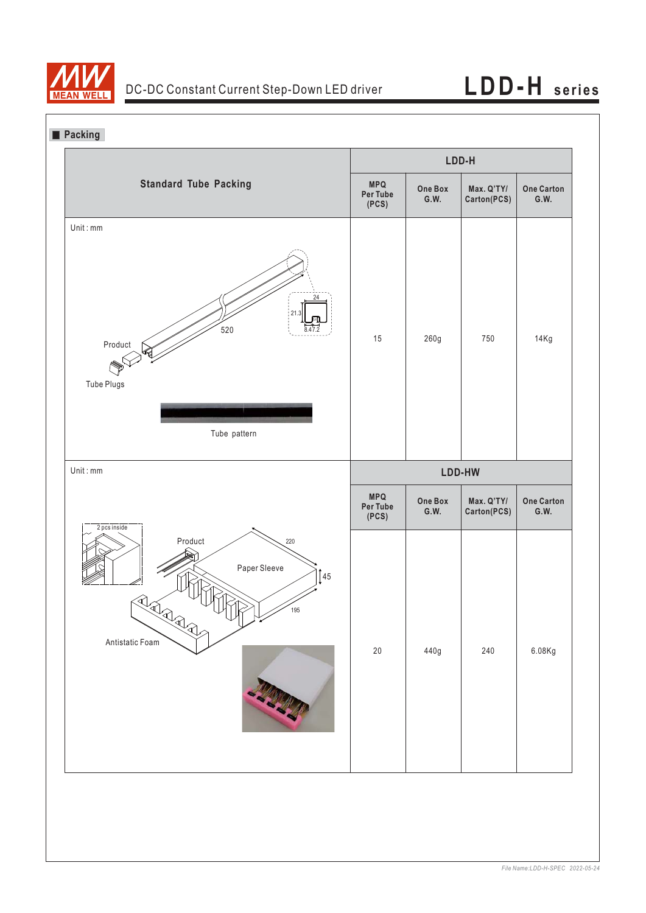

**Packing**